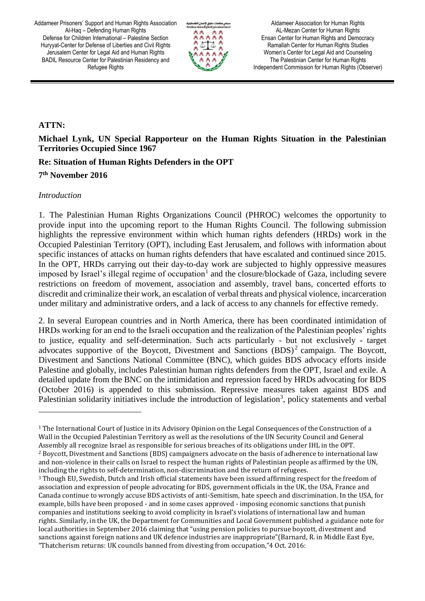

Aldameer Association for Human Rights AL-Mezan Center for Human Rights Ensan Center for Human Rights and Democracy Ramallah Center for Human Rights Studies Women's Center for Legal Aid and Counseling The Palestinian Center for Human Rights Independent Commission for Human Rights (Observer)

### **ATTN:**

**Michael Lynk, UN Special Rapporteur on the Human Rights Situation in the Palestinian Territories Occupied Since 1967** 

## **Re: Situation of Human Rights Defenders in the OPT**

# **7 th November 2016**

#### *Introduction*

 $\overline{a}$ 

1. The Palestinian Human Rights Organizations Council (PHROC) welcomes the opportunity to provide input into the upcoming report to the Human Rights Council. The following submission highlights the repressive environment within which human rights defenders (HRDs) work in the Occupied Palestinian Territory (OPT), including East Jerusalem, and follows with information about specific instances of attacks on human rights defenders that have escalated and continued since 2015. In the OPT, HRDs carrying out their day-to-day work are subjected to highly oppressive measures imposed by Israel's illegal regime of occupation<sup>1</sup> and the closure/blockade of Gaza, including severe restrictions on freedom of movement, association and assembly, travel bans, concerted efforts to discredit and criminalize their work, an escalation of verbal threats and physical violence, incarceration under military and administrative orders, and a lack of access to any channels for effective remedy.

2. In several European countries and in North America, there has been coordinated intimidation of HRDs working for an end to the Israeli occupation and the realization of the Palestinian peoples' rights to justice, equality and self-determination. Such acts particularly - but not exclusively - target advocates supportive of the Boycott, Divestment and Sanctions  $(BDS)^2$  campaign. The Boycott, Divestment and Sanctions National Committee (BNC), which guides BDS advocacy efforts inside Palestine and globally, includes Palestinian human rights defenders from the OPT, Israel and exile. A detailed update from the BNC on the intimidation and repression faced by HRDs advocating for BDS (October 2016) is appended to this submission. Repressive measures taken against BDS and Palestinian solidarity initiatives include the introduction of legislation<sup>3</sup>, policy statements and verbal

<sup>1</sup> The International Court of Justice in its Advisory Opinion on the Legal Consequences of the Construction of a Wall in the Occupied Palestinian Territory as well as the resolutions of the UN Security Council and General Assembly all recognize Israel as responsible for serious breaches of its obligations under IHL in the OPT. <sup>2</sup> Boycott, Divestment and Sanctions (BDS) campaigners advocate on the basis of adherence to international law and non-violence in their calls on Israel to respect the human rights of Palestinian people as affirmed by the UN, including the rights to self-determination, non-discrimination and the return of refugees.

<sup>3</sup> Though EU, Swedish, Dutch and Irish official statements have been issued affirming respect for the freedom of association and expression of people advocating for BDS, government officials in the UK, the USA, France and Canada continue to wrongly accuse BDS activists of anti-Semitism, hate speech and discrimination. In the USA, for example, bills have been proposed - and in some cases approved - imposing economic sanctions that punish companies and institutions seeking to avoid complicity in Israel's violations of international law and human rights. Similarly, in the UK, the Department for Communities and Local Government published a guidance note for local authorities in September 2016 claiming that "using pension policies to pursue boycott, divestment and sanctions against foreign nations and UK defence industries are inappropriate"(Barnard, R. in Middle East Eye, "Thatcherism returns: UK councils banned from divesting from occupation,"4 Oct. 2016: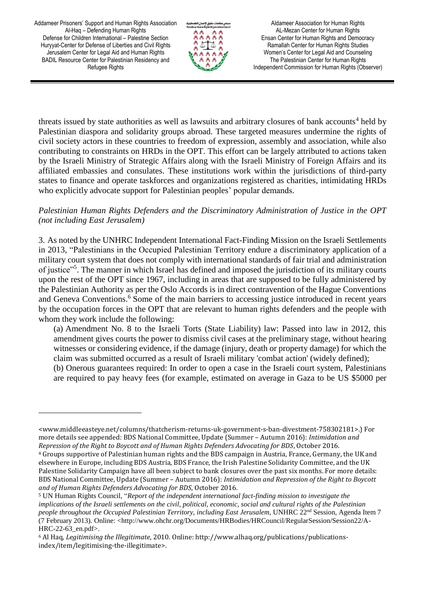$\overline{\phantom{a}}$ 



Aldameer Association for Human Rights AL-Mezan Center for Human Rights Ensan Center for Human Rights and Democracy Ramallah Center for Human Rights Studies Women's Center for Legal Aid and Counseling The Palestinian Center for Human Rights Independent Commission for Human Rights (Observer)

threats issued by state authorities as well as lawsuits and arbitrary closures of bank accounts<sup>4</sup> held by Palestinian diaspora and solidarity groups abroad. These targeted measures undermine the rights of civil society actors in these countries to freedom of expression, assembly and association, while also contributing to constraints on HRDs in the OPT. This effort can be largely attributed to actions taken by the Israeli Ministry of Strategic Affairs along with the Israeli Ministry of Foreign Affairs and its affiliated embassies and consulates. These institutions work within the jurisdictions of third-party states to finance and operate taskforces and organizations registered as charities, intimidating HRDs who explicitly advocate support for Palestinian peoples' popular demands.

#### *Palestinian Human Rights Defenders and the Discriminatory Administration of Justice in the OPT (not including East Jerusalem)*

3. As noted by the UNHRC Independent International Fact-Finding Mission on the Israeli Settlements in 2013, "Palestinians in the Occupied Palestinian Territory endure a discriminatory application of a military court system that does not comply with international standards of fair trial and administration of justice"<sup>5</sup>. The manner in which Israel has defined and imposed the jurisdiction of its military courts upon the rest of the OPT since 1967, including in areas that are supposed to be fully administered by the Palestinian Authority as per the Oslo Accords is in direct contravention of the Hague Conventions and Geneva Conventions.<sup>6</sup> Some of the main barriers to accessing justice introduced in recent years by the occupation forces in the OPT that are relevant to human rights defenders and the people with whom they work include the following:

(a) Amendment No. 8 to the Israeli Torts (State Liability) law: Passed into law in 2012, this amendment gives courts the power to dismiss civil cases at the preliminary stage, without hearing witnesses or considering evidence, if the damage (injury, death or property damage) for which the claim was submitted occurred as a result of Israeli military 'combat action' (widely defined);

(b) Onerous guarantees required: In order to open a case in the Israeli court system, Palestinians are required to pay heavy fees (for example, estimated on average in Gaza to be US \$5000 per

<sup>&</sup>lt;www.middleeasteye.net/columns/thatcherism-returns-uk-government-s-ban-divestment-758302181>.) For more details see appended: BDS National Committee, Update (Summer – Autumn 2016): *Intimidation and Repression of the Right to Boycott and of Human Rights Defenders Advocating for BDS*, October 2016.

<sup>4</sup> Groups supportive of Palestinian human rights and the BDS campaign in Austria, France, Germany, the UK and elsewhere in Europe, including BDS Austria, BDS France, the Irish Palestine Solidarity Committee, and the UK Palestine Solidarity Campaign have all been subject to bank closures over the past six months. For more details: BDS National Committee, Update (Summer – Autumn 2016): *Intimidation and Repression of the Right to Boycott and of Human Rights Defenders Advocating for BDS*, October 2016.

<sup>5</sup> UN Human Rights Council, "*Report of the independent international fact-finding mission to investigate the implications of the Israeli settlements on the civil, political, economic, social and cultural rights of the Palestinian people throughout the Occupied Palestinian Territory, including East Jerusalem*, UNHRC 22nd Session, Agenda Item 7 (7 February 2013). Online: <http://www.ohchr.org/Documents/HRBodies/HRCouncil/RegularSession/Session22/A-HRC-22-63\_en.pdf>.

<sup>6</sup> Al Haq, *Legitimising the Illegitimate*, 2010. Online: http://www.alhaq.org/publications/publicationsindex/item/legitimising-the-illegitimate>.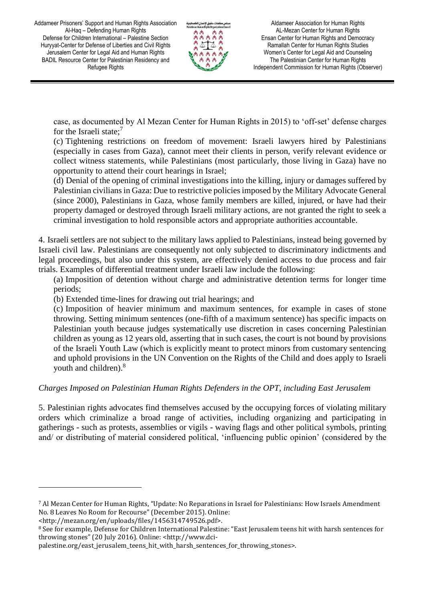

Aldameer Association for Human Rights AL-Mezan Center for Human Rights Ensan Center for Human Rights and Democracy Ramallah Center for Human Rights Studies Women's Center for Legal Aid and Counseling The Palestinian Center for Human Rights Independent Commission for Human Rights (Observer)

case, as documented by Al Mezan Center for Human Rights in 2015) to 'off-set' defense charges for the Israeli state;<sup>7</sup>

(c) Tightening restrictions on freedom of movement: Israeli lawyers hired by Palestinians (especially in cases from Gaza), cannot meet their clients in person, verify relevant evidence or collect witness statements, while Palestinians (most particularly, those living in Gaza) have no opportunity to attend their court hearings in Israel;

(d) Denial of the opening of criminal investigations into the killing, injury or damages suffered by Palestinian civilians in Gaza: Due to restrictive policies imposed by the Military Advocate General (since 2000), Palestinians in Gaza, whose family members are killed, injured, or have had their property damaged or destroyed through Israeli military actions, are not granted the right to seek a criminal investigation to hold responsible actors and appropriate authorities accountable.

4. Israeli settlers are not subject to the military laws applied to Palestinians, instead being governed by Israeli civil law. Palestinians are consequently not only subjected to discriminatory indictments and legal proceedings, but also under this system, are effectively denied access to due process and fair trials. Examples of differential treatment under Israeli law include the following:

(a) Imposition of detention without charge and administrative detention terms for longer time periods;

(b) Extended time-lines for drawing out trial hearings; and

(c) Imposition of heavier minimum and maximum sentences, for example in cases of stone throwing. Setting minimum sentences (one-fifth of a maximum sentence) has specific impacts on Palestinian youth because judges systematically use discretion in cases concerning Palestinian children as young as 12 years old, asserting that in such cases, the court is not bound by provisions of the Israeli Youth Law (which is explicitly meant to protect minors from customary sentencing and uphold provisions in the UN Convention on the Rights of the Child and does apply to Israeli youth and children).<sup>8</sup>

## *Charges Imposed on Palestinian Human Rights Defenders in the OPT, including East Jerusalem*

5. Palestinian rights advocates find themselves accused by the occupying forces of violating military orders which criminalize a broad range of activities, including organizing and participating in gatherings - such as protests, assemblies or vigils - waving flags and other political symbols, printing and/ or distributing of material considered political, 'influencing public opinion' (considered by the

l

<sup>7</sup> Al Mezan Center for Human Rights, "Update: No Reparations in Israel for Palestinians: How Israels Amendment No. 8 Leaves No Room for Recourse" (December 2015). Online:

<sup>&</sup>lt;http://mezan.org/en/uploads/files/1456314749526.pdf>.

<sup>8</sup> See for example, Defense for Children International Palestine: "East Jerusalem teens hit with harsh sentences for throwing stones" (20 July 2016). Online: <http://www.dci-

palestine.org/east\_jerusalem\_teens\_hit\_with\_harsh\_sentences\_for\_throwing\_stones>.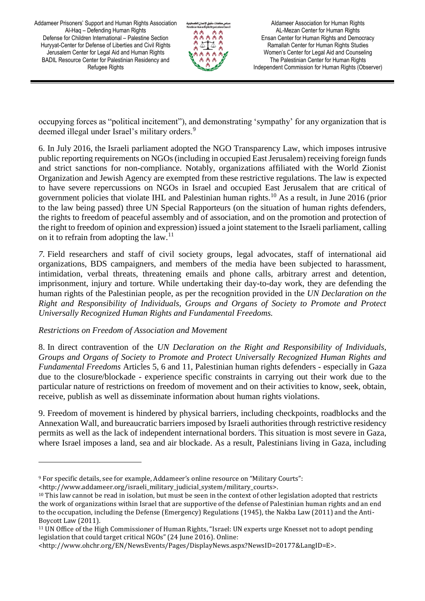

Aldameer Association for Human Rights AL-Mezan Center for Human Rights Ensan Center for Human Rights and Democracy Ramallah Center for Human Rights Studies Women's Center for Legal Aid and Counseling The Palestinian Center for Human Rights Independent Commission for Human Rights (Observer)

occupying forces as "political incitement"), and demonstrating 'sympathy' for any organization that is deemed illegal under Israel's military orders.<sup>9</sup>

6. In July 2016, the Israeli parliament adopted the NGO Transparency Law, which imposes intrusive public reporting requirements on NGOs (including in occupied East Jerusalem) receiving foreign funds and strict sanctions for non-compliance. Notably, organizations affiliated with the World Zionist Organization and Jewish Agency are exempted from these restrictive regulations. The law is expected to have severe repercussions on NGOs in Israel and occupied East Jerusalem that are critical of government policies that violate IHL and Palestinian human rights.<sup>10</sup> As a result, in June 2016 (prior to the law being passed) three UN Special Rapporteurs (on the situation of human rights defenders, the rights to freedom of peaceful assembly and of association, and on the promotion and protection of the right to freedom of opinion and expression) issued a joint statement to the Israeli parliament, calling on it to refrain from adopting the  $law$ .<sup>11</sup>

*7.* Field researchers and staff of civil society groups, legal advocates, staff of international aid organizations, BDS campaigners, and members of the media have been subjected to harassment, intimidation, verbal threats, threatening emails and phone calls, arbitrary arrest and detention, imprisonment, injury and torture. While undertaking their day-to-day work, they are defending the human rights of the Palestinian people, as per the recognition provided in the *UN Declaration on the Right and Responsibility of Individuals, Groups and Organs of Society to Promote and Protect Universally Recognized Human Rights and Fundamental Freedoms.*

#### *Restrictions on Freedom of Association and Movement*

l

8. In direct contravention of the *UN Declaration on the Right and Responsibility of Individuals, Groups and Organs of Society to Promote and Protect Universally Recognized Human Rights and Fundamental Freedoms* Articles 5, 6 and 11, Palestinian human rights defenders - especially in Gaza due to the closure/blockade - experience specific constraints in carrying out their work due to the particular nature of restrictions on freedom of movement and on their activities to know, seek, obtain, receive, publish as well as disseminate information about human rights violations.

9. Freedom of movement is hindered by physical barriers, including checkpoints, roadblocks and the Annexation Wall, and bureaucratic barriers imposed by Israeli authorities through restrictive residency permits as well as the lack of independent international borders. This situation is most severe in Gaza, where Israel imposes a land, sea and air blockade. As a result, Palestinians living in Gaza, including

<http://www.addameer.org/israeli\_military\_judicial\_system/military\_courts>.

<sup>9</sup> For specific details, see for example, Addameer's online resource on "Military Courts":

<sup>&</sup>lt;sup>10</sup> This law cannot be read in isolation, but must be seen in the context of other legislation adopted that restricts the work of organizations within Israel that are supportive of the defense of Palestinian human rights and an end to the occupation, including the Defense (Emergency) Regulations (1945), the Nakba Law (2011) and the Anti-Boycott Law (2011).

<sup>11</sup> UN Office of the High Commissioner of Human Rights, "Israel: UN experts urge Knesset not to adopt pending legislation that could target critical NGOs" (24 June 2016). Online:

<sup>&</sup>lt;http://www.ohchr.org/EN/NewsEvents/Pages/DisplayNews.aspx?NewsID=20177&LangID=E>.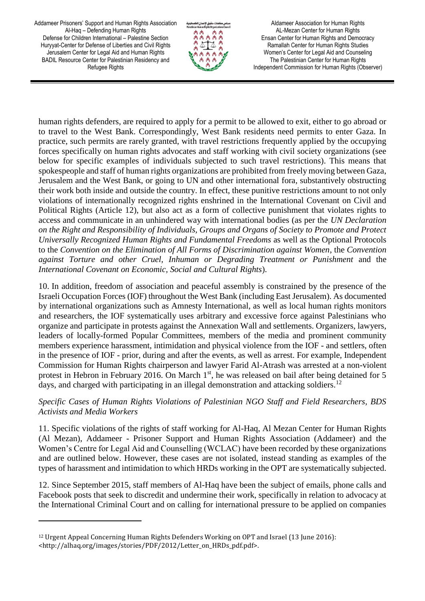

Aldameer Association for Human Rights AL-Mezan Center for Human Rights Ensan Center for Human Rights and Democracy Ramallah Center for Human Rights Studies Women's Center for Legal Aid and Counseling The Palestinian Center for Human Rights Independent Commission for Human Rights (Observer)

human rights defenders, are required to apply for a permit to be allowed to exit, either to go abroad or to travel to the West Bank. Correspondingly, West Bank residents need permits to enter Gaza. In practice, such permits are rarely granted, with travel restrictions frequently applied by the occupying forces specifically on human rights advocates and staff working with civil society organizations (see below for specific examples of individuals subjected to such travel restrictions). This means that spokespeople and staff of human rights organizations are prohibited from freely moving between Gaza, Jerusalem and the West Bank, or going to UN and other international fora, substantively obstructing their work both inside and outside the country. In effect, these punitive restrictions amount to not only violations of internationally recognized rights enshrined in the International Covenant on Civil and Political Rights (Article 12), but also act as a form of collective punishment that violates rights to access and communicate in an unhindered way with international bodies (as per the *UN Declaration on the Right and Responsibility of Individuals, Groups and Organs of Society to Promote and Protect Universally Recognized Human Rights and Fundamental Freedoms* as well as the Optional Protocols to the *Convention on the Elimination of All Forms of Discrimination against Women*, the *Convention against Torture and other Cruel, Inhuman or Degrading Treatment or Punishment* and the *International Covenant on Economic, Social and Cultural Rights*).

10. In addition, freedom of association and peaceful assembly is constrained by the presence of the Israeli Occupation Forces (IOF) throughout the West Bank (including East Jerusalem). As documented by international organizations such as Amnesty International, as well as local human rights monitors and researchers, the IOF systematically uses arbitrary and excessive force against Palestinians who organize and participate in protests against the Annexation Wall and settlements. Organizers, lawyers, leaders of locally-formed Popular Committees, members of the media and prominent community members experience harassment, intimidation and physical violence from the IOF - and settlers, often in the presence of IOF - prior, during and after the events, as well as arrest. For example, Independent Commission for Human Rights chairperson and lawyer Farid Al-Atrash was arrested at a non-violent protest in Hebron in February 2016. On March  $1<sup>st</sup>$ , he was released on bail after being detained for 5 days, and charged with participating in an illegal demonstration and attacking soldiers.<sup>12</sup>

### *Specific Cases of Human Rights Violations of Palestinian NGO Staff and Field Researchers, BDS Activists and Media Workers*

11. Specific violations of the rights of staff working for Al-Haq, Al Mezan Center for Human Rights (Al Mezan), Addameer - Prisoner Support and Human Rights Association (Addameer) and the Women's Centre for Legal Aid and Counselling (WCLAC) have been recorded by these organizations and are outlined below. However, these cases are not isolated, instead standing as examples of the types of harassment and intimidation to which HRDs working in the OPT are systematically subjected.

12. Since September 2015, staff members of Al-Haq have been the subject of emails, phone calls and Facebook posts that seek to discredit and undermine their work, specifically in relation to advocacy at the International Criminal Court and on calling for international pressure to be applied on companies

 $\overline{\phantom{0}}$ 

<sup>12</sup> Urgent Appeal Concerning Human Rights Defenders Working on OPT and Israel (13 June 2016): <http://alhaq.org/images/stories/PDF/2012/Letter\_on\_HRDs\_pdf.pdf>.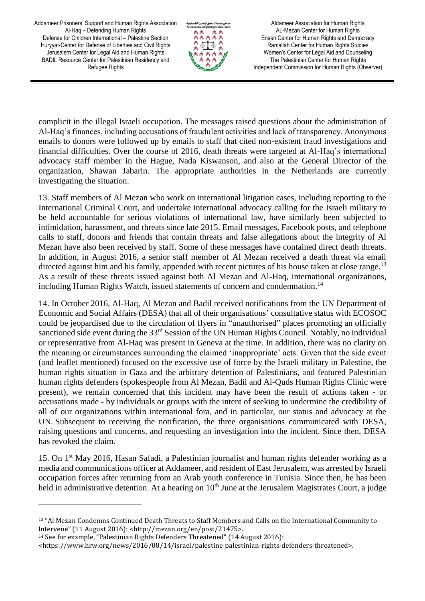

Aldameer Association for Human Rights AL-Mezan Center for Human Rights Ensan Center for Human Rights and Democracy Ramallah Center for Human Rights Studies Women's Center for Legal Aid and Counseling The Palestinian Center for Human Rights Independent Commission for Human Rights (Observer)

complicit in the illegal Israeli occupation. The messages raised questions about the administration of Al-Haq's finances, including accusations of fraudulent activities and lack of transparency. Anonymous emails to donors were followed up by emails to staff that cited non-existent fraud investigations and financial difficulties. Over the course of 2016, death threats were targeted at Al-Haq's international advocacy staff member in the Hague, Nada Kiswanson, and also at the General Director of the organization, Shawan Jabarin. The appropriate authorities in the Netherlands are currently investigating the situation.

13. Staff members of Al Mezan who work on international litigation cases, including reporting to the International Criminal Court, and undertake international advocacy calling for the Israeli military to be held accountable for serious violations of international law, have similarly been subjected to intimidation, harassment, and threats since late 2015. Email messages, Facebook posts, and telephone calls to staff, donors and friends that contain threats and false allegations about the integrity of Al Mezan have also been received by staff. Some of these messages have contained direct death threats. In addition, in August 2016, a senior staff member of Al Mezan received a death threat via email directed against him and his family, appended with recent pictures of his house taken at close range.<sup>13</sup> As a result of these threats issued against both Al Mezan and Al-Haq, international organizations, including Human Rights Watch, issued statements of concern and condemnation.<sup>14</sup>

14. In October 2016, Al-Haq, Al Mezan and Badil received notifications from the UN Department of Economic and Social Affairs (DESA) that all of their organisations' consultative status with ECOSOC could be jeopardised due to the circulation of flyers in "unauthorised" places promoting an officially sanctioned side event during the 33<sup>rd</sup> Session of the UN Human Rights Council. Notably, no individual or representative from Al-Haq was present in Geneva at the time. In addition, there was no clarity on the meaning or circumstances surrounding the claimed 'inappropriate' acts. Given that the side event (and leaflet mentioned) focused on the excessive use of force by the Israeli military in Palestine, the human rights situation in Gaza and the arbitrary detention of Palestinians, and featured Palestinian human rights defenders (spokespeople from Al Mezan, Badil and Al-Quds Human Rights Clinic were present), we remain concerned that this incident may have been the result of actions taken - or accusations made - by individuals or groups with the intent of seeking to undermine the credibility of all of our organizations within international fora, and in particular, our status and advocacy at the UN. Subsequent to receiving the notification, the three organisations communicated with DESA, raising questions and concerns, and requesting an investigation into the incident. Since then, DESA has revoked the claim.

15. On 1st May 2016, Hasan Safadi, a Palestinian journalist and human rights defender working as a media and communications officer at Addameer, and resident of East Jerusalem, was arrested by Israeli occupation forces after returning from an Arab youth conference in Tunisia. Since then, he has been held in administrative detention. At a hearing on  $10<sup>th</sup>$  June at the Jerusalem Magistrates Court, a judge

 $\overline{a}$ 

<sup>13</sup> "Al Mezan Condemns Continued Death Threats to Staff Members and Calls on the International Community to Intervene" (11 August 2016): <http://mezan.org/en/post/21475>.

<sup>14</sup> See for example, "Palestinian Rights Defenders Threatened" (14 August 2016):

<sup>&</sup>lt;https://www.hrw.org/news/2016/08/14/israel/palestine-palestinian-rights-defenders-threatened>.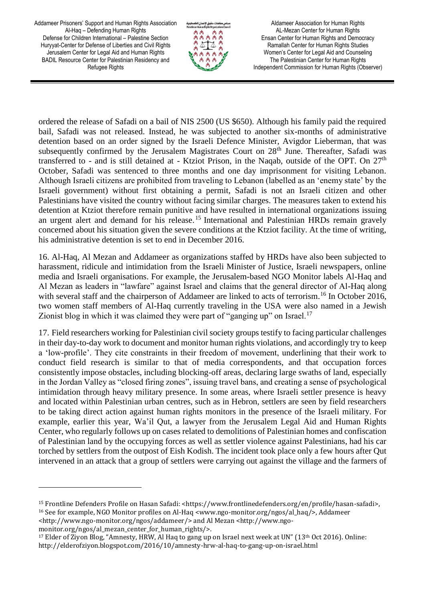

Aldameer Association for Human Rights AL-Mezan Center for Human Rights Ensan Center for Human Rights and Democracy Ramallah Center for Human Rights Studies Women's Center for Legal Aid and Counseling The Palestinian Center for Human Rights Independent Commission for Human Rights (Observer)

ordered the release of Safadi on a bail of NIS 2500 (US \$650). Although his family paid the required bail, Safadi was not released. Instead, he was subjected to another six-months of administrative detention based on an order signed by the Israeli Defence Minister, Avigdor Lieberman, that was subsequently confirmed by the Jerusalem Magistrates Court on 28<sup>th</sup> June. Thereafter, Safadi was transferred to - and is still detained at - Ktziot Prison, in the Naqab, outside of the OPT. On  $27<sup>th</sup>$ October, Safadi was sentenced to three months and one day imprisonment for visiting Lebanon. Although Israeli citizens are prohibited from traveling to Lebanon (labelled as an 'enemy state' by the Israeli government) without first obtaining a permit, Safadi is not an Israeli citizen and other Palestinians have visited the country without facing similar charges. The measures taken to extend his detention at Ktziot therefore remain punitive and have resulted in international organizations issuing an urgent alert and demand for his release.<sup>15</sup> International and Palestinian HRDs remain gravely concerned about his situation given the severe conditions at the Ktziot facility. At the time of writing, his administrative detention is set to end in December 2016.

16. Al-Haq, Al Mezan and Addameer as organizations staffed by HRDs have also been subjected to harassment, ridicule and intimidation from the Israeli Minister of Justice, Israeli newspapers, online media and Israeli organisations. For example, the Jerusalem-based NGO Monitor labels Al-Haq and Al Mezan as leaders in "lawfare" against Israel and claims that the general director of Al-Haq along with several staff and the chairperson of Addameer are linked to acts of terrorism.<sup>16</sup> In October 2016, two women staff members of Al-Haq currently traveling in the USA were also named in a Jewish Zionist blog in which it was claimed they were part of "ganging up" on Israel.<sup>17</sup>

17. Field researchers working for Palestinian civil society groups testify to facing particular challenges in their day-to-day work to document and monitor human rights violations, and accordingly try to keep a 'low-profile'. They cite constraints in their freedom of movement, underlining that their work to conduct field research is similar to that of media correspondents, and that occupation forces consistently impose obstacles, including blocking-off areas, declaring large swaths of land, especially in the Jordan Valley as "closed firing zones", issuing travel bans, and creating a sense of psychological intimidation through heavy military presence. In some areas, where Israeli settler presence is heavy and located within Palestinian urban centres, such as in Hebron, settlers are seen by field researchers to be taking direct action against human rights monitors in the presence of the Israeli military. For example, earlier this year, Wa'il Qut, a lawyer from the Jerusalem Legal Aid and Human Rights Center, who regularly follows up on cases related to demolitions of Palestinian homes and confiscation of Palestinian land by the occupying forces as well as settler violence against Palestinians, had his car torched by settlers from the outpost of Eish Kodish. The incident took place only a few hours after Qut intervened in an attack that a group of settlers were carrying out against the village and the farmers of

<http://www.ngo-monitor.org/ngos/addameer/> and Al Mezan <http://www.ngo-

monitor.org/ngos/al\_mezan\_center\_for\_human\_rights/>.

l

<sup>&</sup>lt;sup>15</sup> Frontline Defenders Profile on Hasan Safadi: <https://www.frontlinedefenders.org/en/profile/hasan-safadi>, <sup>16</sup> See for example, NGO Monitor profiles on Al-Haq <www.ngo-monitor.org/ngos/al\_haq/>, Addameer

<sup>&</sup>lt;sup>17</sup> Elder of Ziyon Blog, "Amnesty, HRW, Al Haq to gang up on Israel next week at UN" (13<sup>th</sup> Oct 2016). Online: http://elderofziyon.blogspot.com/2016/10/amnesty-hrw-al-haq-to-gang-up-on-israel.html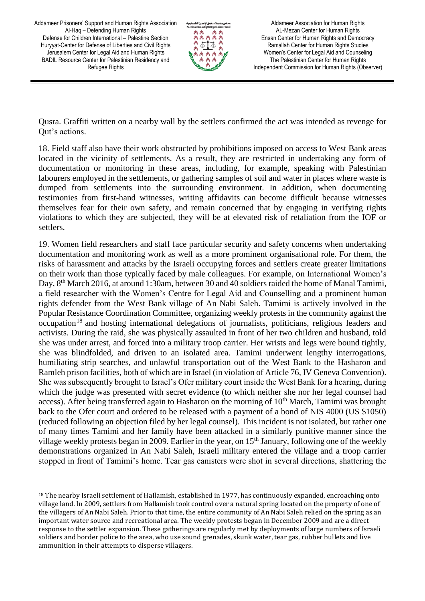$\overline{a}$ 



Aldameer Association for Human Rights AL-Mezan Center for Human Rights Ensan Center for Human Rights and Democracy Ramallah Center for Human Rights Studies Women's Center for Legal Aid and Counseling The Palestinian Center for Human Rights Independent Commission for Human Rights (Observer)

Qusra. Graffiti written on a nearby wall by the settlers confirmed the act was intended as revenge for Qut's actions.

18. Field staff also have their work obstructed by prohibitions imposed on access to West Bank areas located in the vicinity of settlements. As a result, they are restricted in undertaking any form of documentation or monitoring in these areas, including, for example, speaking with Palestinian labourers employed in the settlements, or gathering samples of soil and water in places where waste is dumped from settlements into the surrounding environment. In addition, when documenting testimonies from first-hand witnesses, writing affidavits can become difficult because witnesses themselves fear for their own safety, and remain concerned that by engaging in verifying rights violations to which they are subjected, they will be at elevated risk of retaliation from the IOF or settlers.

19. Women field researchers and staff face particular security and safety concerns when undertaking documentation and monitoring work as well as a more prominent organisational role. For them, the risks of harassment and attacks by the Israeli occupying forces and settlers create greater limitations on their work than those typically faced by male colleagues. For example, on International Women's Day, 8<sup>th</sup> March 2016, at around 1:30am, between 30 and 40 soldiers raided the home of Manal Tamimi, a field researcher with the Women's Centre for Legal Aid and Counselling and a prominent human rights defender from the West Bank village of An Nabi Saleh. Tamimi is actively involved in the Popular Resistance Coordination Committee, organizing weekly protests in the community against the occupation<sup>18</sup> and hosting international delegations of journalists, politicians, religious leaders and activists. During the raid, she was physically assaulted in front of her two children and husband, told she was under arrest, and forced into a military troop carrier. Her wrists and legs were bound tightly, she was blindfolded, and driven to an isolated area. Tamimi underwent lengthy interrogations, humiliating strip searches, and unlawful transportation out of the West Bank to the Hasharon and Ramleh prison facilities, both of which are in Israel (in violation of Article 76, IV Geneva Convention). She was subsequently brought to Israel's Ofer military court inside the West Bank for a hearing, during which the judge was presented with secret evidence (to which neither she nor her legal counsel had access). After being transferred again to Hasharon on the morning of 10<sup>th</sup> March, Tamimi was brought back to the Ofer court and ordered to be released with a payment of a bond of NIS 4000 (US \$1050) (reduced following an objection filed by her legal counsel). This incident is not isolated, but rather one of many times Tamimi and her family have been attacked in a similarly punitive manner since the village weekly protests began in 2009. Earlier in the year, on 15<sup>th</sup> January, following one of the weekly demonstrations organized in An Nabi Saleh, Israeli military entered the village and a troop carrier stopped in front of Tamimi's home. Tear gas canisters were shot in several directions, shattering the

<sup>&</sup>lt;sup>18</sup> The nearby Israeli settlement of HaIlamish, established in 1977, has continuously expanded, encroaching onto village land. In 2009, settlers from Hallamish took control over a natural spring located on the property of one of the villagers of An Nabi Saleh. Prior to that time, the entire community of An Nabi Saleh relied on the spring as an important water source and recreational area. The weekly protests began in December 2009 and are a direct response to the settler expansion. These gatherings are regularly met by deployments of large numbers of Israeli soldiers and border police to the area, who use sound grenades, skunk water, tear gas, rubber bullets and live ammunition in their attempts to disperse villagers.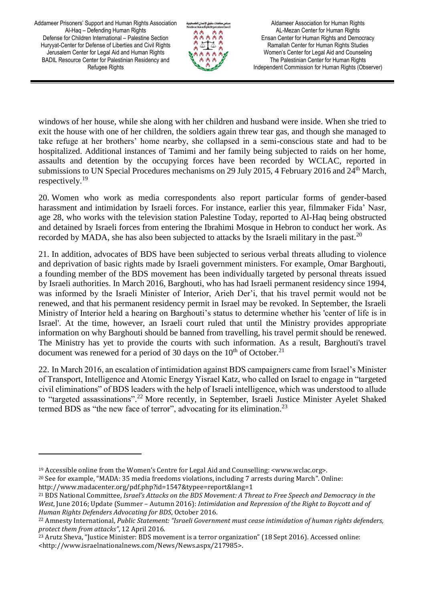

Aldameer Association for Human Rights AL-Mezan Center for Human Rights Ensan Center for Human Rights and Democracy Ramallah Center for Human Rights Studies Women's Center for Legal Aid and Counseling The Palestinian Center for Human Rights Independent Commission for Human Rights (Observer)

windows of her house, while she along with her children and husband were inside. When she tried to exit the house with one of her children, the soldiers again threw tear gas, and though she managed to take refuge at her brothers' home nearby, she collapsed in a semi-conscious state and had to be hospitalized. Additional instances of Tamimi and her family being subjected to raids on her home, assaults and detention by the occupying forces have been recorded by WCLAC, reported in submissions to UN Special Procedures mechanisms on 29 July 2015, 4 February 2016 and 24<sup>th</sup> March, respectively.<sup>19</sup>

20. Women who work as media correspondents also report particular forms of gender-based harassment and intimidation by Israeli forces. For instance, earlier this year, filmmaker Fida' Nasr, age 28, who works with the television station Palestine Today, reported to Al-Haq being obstructed and detained by Israeli forces from entering the Ibrahimi Mosque in Hebron to conduct her work. As recorded by MADA, she has also been subjected to attacks by the Israeli military in the past.<sup>20</sup>

21. In addition, advocates of BDS have been subjected to serious verbal threats alluding to violence and deprivation of basic rights made by Israeli government ministers. For example, Omar Barghouti, a founding member of the BDS movement has been individually targeted by personal threats issued by Israeli authorities. In March 2016, Barghouti, who has had Israeli permanent residency since 1994, was informed by the Israeli Minister of Interior, Arieh Der'i, that his travel permit would not be renewed, and that his permanent residency permit in Israel may be revoked. In September, the Israeli Ministry of Interior held a hearing on Barghouti's status to determine whether his 'center of life is in Israel'. At the time, however, an Israeli court ruled that until the Ministry provides appropriate information on why Barghouti should be banned from travelling, his travel permit should be renewed. The Ministry has yet to provide the courts with such information. As a result, Barghouti's travel document was renewed for a period of 30 days on the  $10^{th}$  of October.<sup>21</sup>

22. In March 2016, an escalation of intimidation against BDS campaigners came from Israel's Minister of Transport, Intelligence and Atomic Energy Yisrael Katz, who called on Israel to engage in "targeted civil eliminations" of BDS leaders with the help of Israeli intelligence, which was understood to allude to "targeted assassinations".<sup>22</sup> More recently, in September, Israeli Justice Minister Ayelet Shaked termed BDS as "the new face of terror", advocating for its elimination.<sup>23</sup>

l

<sup>&</sup>lt;sup>19</sup> Accessible online from the Women's Centre for Legal Aid and Counselling: <www.wclac.org>.

<sup>20</sup> See for example, "MADA: 35 media freedoms violations, including 7 arrests during March". Online: http://www.madacenter.org/pdf.php?id=1547&typee=report&lang=1

<sup>21</sup> BDS National Committee, *Israel's Attacks on the BDS Movement: A Threat to Free Speech and Democracy in the West*, June 2016; Update (Summer – Autumn 2016): *Intimidation and Repression of the Right to Boycott and of Human Rights Defenders Advocating for BDS*, October 2016.

<sup>22</sup> Amnesty International, *Public Statement: "Israeli Government must cease intimidation of human rights defenders, protect them from attacks"*, 12 April 2016.

<sup>&</sup>lt;sup>23</sup> Arutz Sheva, "Justice Minister: BDS movement is a terror organization" (18 Sept 2016). Accessed online: <http://www.israelnationalnews.com/News/News.aspx/217985>.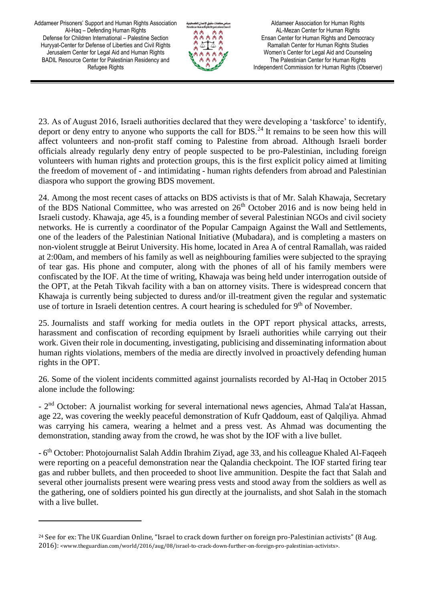$\overline{\phantom{0}}$ 



Aldameer Association for Human Rights AL-Mezan Center for Human Rights Ensan Center for Human Rights and Democracy Ramallah Center for Human Rights Studies Women's Center for Legal Aid and Counseling The Palestinian Center for Human Rights Independent Commission for Human Rights (Observer)

23. As of August 2016, Israeli authorities declared that they were developing a 'taskforce' to identify, deport or deny entry to anyone who supports the call for BDS.<sup>24</sup> It remains to be seen how this will affect volunteers and non-profit staff coming to Palestine from abroad. Although Israeli border officials already regularly deny entry of people suspected to be pro-Palestinian, including foreign volunteers with human rights and protection groups, this is the first explicit policy aimed at limiting the freedom of movement of - and intimidating - human rights defenders from abroad and Palestinian diaspora who support the growing BDS movement.

24. Among the most recent cases of attacks on BDS activists is that of Mr. Salah Khawaja, Secretary of the BDS National Committee, who was arrested on  $26<sup>th</sup>$  October 2016 and is now being held in Israeli custody. Khawaja, age 45, is a founding member of several Palestinian NGOs and civil society networks. He is currently a coordinator of the Popular Campaign Against the Wall and Settlements, one of the leaders of the Palestinian National Initiative (Mubadara), and is completing a masters on non-violent struggle at Beirut University. His home, located in Area A of central Ramallah, was raided at 2:00am, and members of his family as well as neighbouring families were subjected to the spraying of tear gas. His phone and computer, along with the phones of all of his family members were confiscated by the IOF. At the time of writing, Khawaja was being held under interrogation outside of the OPT, at the Petah Tikvah facility with a ban on attorney visits. There is widespread concern that Khawaja is currently being subjected to duress and/or ill-treatment given the regular and systematic use of torture in Israeli detention centres. A court hearing is scheduled for  $9<sup>th</sup>$  of November.

25. Journalists and staff working for media outlets in the OPT report physical attacks, arrests, harassment and confiscation of recording equipment by Israeli authorities while carrying out their work. Given their role in documenting, investigating, publicising and disseminating information about human rights violations, members of the media are directly involved in proactively defending human rights in the OPT.

26. Some of the violent incidents committed against journalists recorded by Al-Haq in October 2015 alone include the following:

- 2<sup>nd</sup> October: A journalist working for several international news agencies, Ahmad Tala'at Hassan, age 22, was covering the weekly peaceful demonstration of Kufr Qaddoum, east of Qalqiliya. Ahmad was carrying his camera, wearing a helmet and a press vest. As Ahmad was documenting the demonstration, standing away from the crowd, he was shot by the IOF with a live bullet.

- 6<sup>th</sup> October: Photojournalist Salah Addin Ibrahim Ziyad, age 33, and his colleague Khaled Al-Faqeeh were reporting on a peaceful demonstration near the Qalandia checkpoint. The IOF started firing tear gas and rubber bullets, and then proceeded to shoot live ammunition. Despite the fact that Salah and several other journalists present were wearing press vests and stood away from the soldiers as well as the gathering, one of soldiers pointed his gun directly at the journalists, and shot Salah in the stomach with a live bullet.

<sup>&</sup>lt;sup>24</sup> See for ex: The UK Guardian Online, "Israel to crack down further on foreign pro-Palestinian activists" (8 Aug. 2016): <www.theguardian.com/world/2016/aug/08/israel-to-crack-down-further-on-foreign-pro-palestinian-activists>.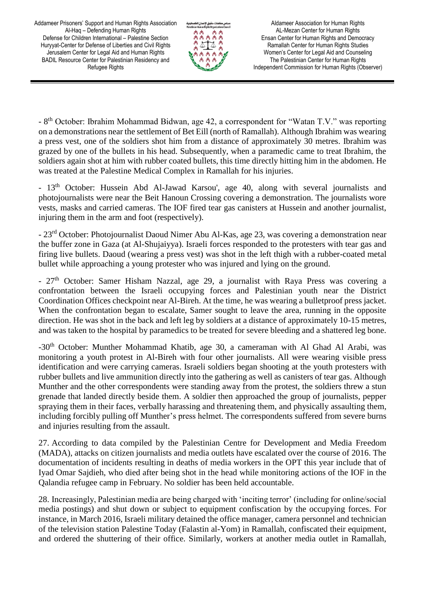

Aldameer Association for Human Rights AL-Mezan Center for Human Rights Ensan Center for Human Rights and Democracy Ramallah Center for Human Rights Studies Women's Center for Legal Aid and Counseling The Palestinian Center for Human Rights Independent Commission for Human Rights (Observer)

- 8<sup>th</sup> October: Ibrahim Mohammad Bidwan, age 42, a correspondent for "Watan T.V." was reporting on a demonstrations near the settlement of Bet Eill (north of Ramallah). Although Ibrahim was wearing a press vest, one of the soldiers shot him from a distance of approximately 30 metres. Ibrahim was grazed by one of the bullets in his head. Subsequently, when a paramedic came to treat Ibrahim, the soldiers again shot at him with rubber coated bullets, this time directly hitting him in the abdomen. He was treated at the Palestine Medical Complex in Ramallah for his injuries.

- 13<sup>th</sup> October: Hussein Abd Al-Jawad Karsou', age 40, along with several journalists and photojournalists were near the Beit Hanoun Crossing covering a demonstration. The journalists wore vests, masks and carried cameras. The IOF fired tear gas canisters at Hussein and another journalist, injuring them in the arm and foot (respectively).

- 23rd October: Photojournalist Daoud Nimer Abu Al-Kas, age 23, was covering a demonstration near the buffer zone in Gaza (at Al-Shujaiyya). Israeli forces responded to the protesters with tear gas and firing live bullets. Daoud (wearing a press vest) was shot in the left thigh with a rubber-coated metal bullet while approaching a young protester who was injured and lying on the ground.

 $-27<sup>th</sup>$  October: Samer Hisham Nazzal, age 29, a journalist with Raya Press was covering a confrontation between the Israeli occupying forces and Palestinian youth near the District Coordination Offices checkpoint near Al-Bireh. At the time, he was wearing a bulletproof press jacket. When the confrontation began to escalate, Samer sought to leave the area, running in the opposite direction. He was shot in the back and left leg by soldiers at a distance of approximately 10-15 metres, and was taken to the hospital by paramedics to be treated for severe bleeding and a shattered leg bone.

-30<sup>th</sup> October: Munther Mohammad Khatib, age 30, a cameraman with Al Ghad Al Arabi, was monitoring a youth protest in Al-Bireh with four other journalists. All were wearing visible press identification and were carrying cameras. Israeli soldiers began shooting at the youth protesters with rubber bullets and live ammunition directly into the gathering as well as canisters of tear gas. Although Munther and the other correspondents were standing away from the protest, the soldiers threw a stun grenade that landed directly beside them. A soldier then approached the group of journalists, pepper spraying them in their faces, verbally harassing and threatening them, and physically assaulting them, including forcibly pulling off Munther's press helmet. The correspondents suffered from severe burns and injuries resulting from the assault.

27. According to data compiled by the Palestinian Centre for Development and Media Freedom (MADA), attacks on citizen journalists and media outlets have escalated over the course of 2016. The documentation of incidents resulting in deaths of media workers in the OPT this year include that of Iyad Omar Sajdieh, who died after being shot in the head while monitoring actions of the IOF in the Qalandia refugee camp in February. No soldier has been held accountable.

28. Increasingly, Palestinian media are being charged with 'inciting terror' (including for online/social media postings) and shut down or subject to equipment confiscation by the occupying forces. For instance, in March 2016, Israeli military detained the office manager, camera personnel and technician of the television station Palestine Today (Falastin al-Yom) in Ramallah, confiscated their equipment, and ordered the shuttering of their office. Similarly, workers at another media outlet in Ramallah,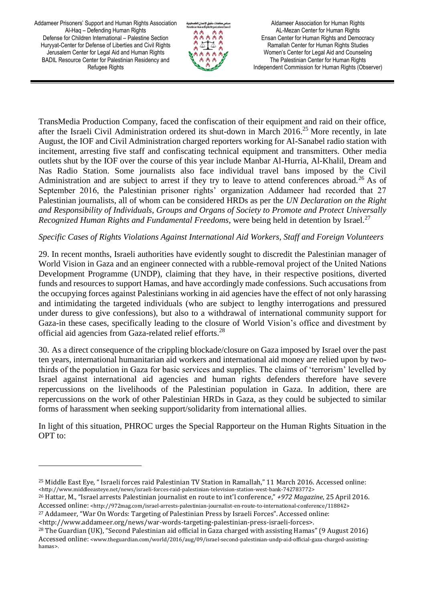l



Aldameer Association for Human Rights AL-Mezan Center for Human Rights Ensan Center for Human Rights and Democracy Ramallah Center for Human Rights Studies Women's Center for Legal Aid and Counseling The Palestinian Center for Human Rights Independent Commission for Human Rights (Observer)

TransMedia Production Company, faced the confiscation of their equipment and raid on their office, after the Israeli Civil Administration ordered its shut-down in March  $2016<sup>25</sup>$  More recently, in late August, the IOF and Civil Administration charged reporters working for Al-Sanabel radio station with incitement, arresting five staff and confiscating technical equipment and transmitters. Other media outlets shut by the IOF over the course of this year include Manbar Al-Hurria, Al-Khalil, Dream and Nas Radio Station. Some journalists also face individual travel bans imposed by the Civil Administration and are subject to arrest if they try to leave to attend conferences abroad.<sup>26</sup> As of September 2016, the Palestinian prisoner rights' organization Addameer had recorded that 27 Palestinian journalists, all of whom can be considered HRDs as per the *UN Declaration on the Right and Responsibility of Individuals, Groups and Organs of Society to Promote and Protect Universally Recognized Human Rights and Fundamental Freedoms*, were being held in detention by Israel.<sup>27</sup>

## *Specific Cases of Rights Violations Against International Aid Workers, Staff and Foreign Volunteers*

29. In recent months, Israeli authorities have evidently sought to discredit the Palestinian manager of World Vision in Gaza and an engineer connected with a rubble-removal project of the United Nations Development Programme (UNDP), claiming that they have, in their respective positions, diverted funds and resources to support Hamas, and have accordingly made confessions. Such accusations from the occupying forces against Palestinians working in aid agencies have the effect of not only harassing and intimidating the targeted individuals (who are subject to lengthy interrogations and pressured under duress to give confessions), but also to a withdrawal of international community support for Gaza-in these cases, specifically leading to the closure of World Vision's office and divestment by official aid agencies from Gaza-related relief efforts.<sup>28</sup>

30. As a direct consequence of the crippling blockade/closure on Gaza imposed by Israel over the past ten years, international humanitarian aid workers and international aid money are relied upon by twothirds of the population in Gaza for basic services and supplies. The claims of 'terrorism' levelled by Israel against international aid agencies and human rights defenders therefore have severe repercussions on the livelihoods of the Palestinian population in Gaza. In addition, there are repercussions on the work of other Palestinian HRDs in Gaza, as they could be subjected to similar forms of harassment when seeking support/solidarity from international allies.

In light of this situation, PHROC urges the Special Rapporteur on the Human Rights Situation in the OPT to:

<sup>25</sup> Middle East Eye, " Israeli forces raid Palestinian TV Station in Ramallah," 11 March 2016. Accessed online: <http://www.middleeasteye.net/news/israeli-forces-raid-palestinian-television-station-west-bank-742783772>

<sup>26</sup> Hattar, M., "Israel arrests Palestinian journalist en route to int'l conference," *+972 Magazine*, 25 April 2016. Accessed online: <http://972mag.com/israel-arrests-palestinian-journalist-en-route-to-international-conference/118842>

<sup>27</sup> Addameer, "War On Words: Targeting of Palestinian Press by Israeli Forces". Accessed online:

<sup>&</sup>lt;http://www.addameer.org/news/war-words-targeting-palestinian-press-israeli-forces>.

<sup>28</sup> The Guardian (UK), "Second Palestinian aid official in Gaza charged with assisting Hamas" (9 August 2016) Accessed online: <www.theguardian.com/world/2016/aug/09/israel-second-palestinian-undp-aid-official-gaza-charged-assistinghamas>.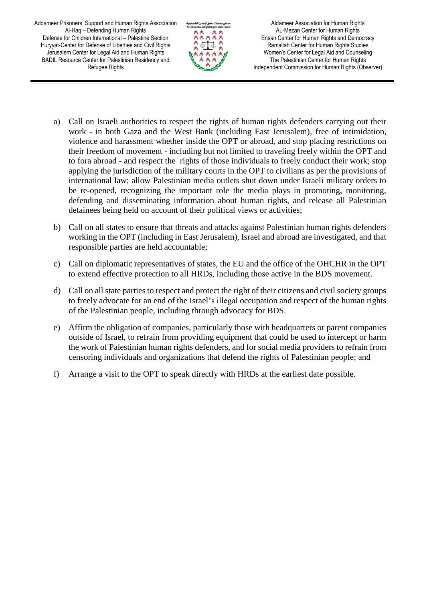

Aldameer Association for Human Rights AL-Mezan Center for Human Rights Ensan Center for Human Rights and Democracy Ramallah Center for Human Rights Studies Women's Center for Legal Aid and Counseling The Palestinian Center for Human Rights Independent Commission for Human Rights (Observer)

- a) Call on Israeli authorities to respect the rights of human rights defenders carrying out their work - in both Gaza and the West Bank (including East Jerusalem), free of intimidation, violence and harassment whether inside the OPT or abroad, and stop placing restrictions on their freedom of movement - including but not limited to traveling freely within the OPT and to fora abroad - and respect the rights of those individuals to freely conduct their work; stop applying the jurisdiction of the military courts in the OPT to civilians as per the provisions of international law; allow Palestinian media outlets shut down under Israeli military orders to be re-opened, recognizing the important role the media plays in promoting, monitoring, defending and disseminating information about human rights, and release all Palestinian detainees being held on account of their political views or activities;
- b) Call on all states to ensure that threats and attacks against Palestinian human rights defenders working in the OPT (including in East Jerusalem), Israel and abroad are investigated, and that responsible parties are held accountable;
- c) Call on diplomatic representatives of states, the EU and the office of the OHCHR in the OPT to extend effective protection to all HRDs, including those active in the BDS movement.
- d) Call on all state parties to respect and protect the right of their citizens and civil society groups to freely advocate for an end of the Israel's illegal occupation and respect of the human rights of the Palestinian people, including through advocacy for BDS.
- e) Affirm the obligation of companies, particularly those with headquarters or parent companies outside of Israel, to refrain from providing equipment that could be used to intercept or harm the work of Palestinian human rights defenders, and for social media providers to refrain from censoring individuals and organizations that defend the rights of Palestinian people; and
- f) Arrange a visit to the OPT to speak directly with HRDs at the earliest date possible.